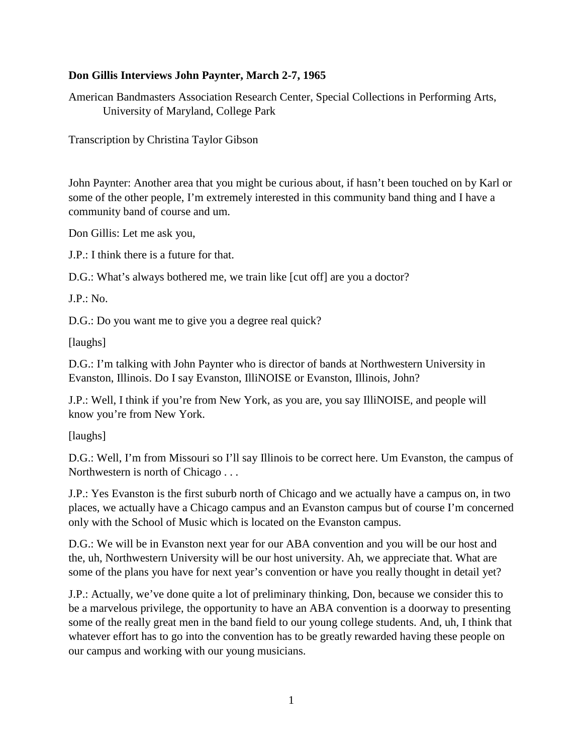## **Don Gillis Interviews John Paynter, March 2-7, 1965**

American Bandmasters Association Research Center, Special Collections in Performing Arts, University of Maryland, College Park

Transcription by Christina Taylor Gibson

John Paynter: Another area that you might be curious about, if hasn't been touched on by Karl or some of the other people, I'm extremely interested in this community band thing and I have a community band of course and um.

Don Gillis: Let me ask you,

J.P.: I think there is a future for that.

D.G.: What's always bothered me, we train like [cut off] are you a doctor?

J.P.: No.

D.G.: Do you want me to give you a degree real quick?

[laughs]

D.G.: I'm talking with John Paynter who is director of bands at Northwestern University in Evanston, Illinois. Do I say Evanston, IlliNOISE or Evanston, Illinois, John?

J.P.: Well, I think if you're from New York, as you are, you say IlliNOISE, and people will know you're from New York.

[laughs]

D.G.: Well, I'm from Missouri so I'll say Illinois to be correct here. Um Evanston, the campus of Northwestern is north of Chicago . . .

J.P.: Yes Evanston is the first suburb north of Chicago and we actually have a campus on, in two places, we actually have a Chicago campus and an Evanston campus but of course I'm concerned only with the School of Music which is located on the Evanston campus.

D.G.: We will be in Evanston next year for our ABA convention and you will be our host and the, uh, Northwestern University will be our host university. Ah, we appreciate that. What are some of the plans you have for next year's convention or have you really thought in detail yet?

J.P.: Actually, we've done quite a lot of preliminary thinking, Don, because we consider this to be a marvelous privilege, the opportunity to have an ABA convention is a doorway to presenting some of the really great men in the band field to our young college students. And, uh, I think that whatever effort has to go into the convention has to be greatly rewarded having these people on our campus and working with our young musicians.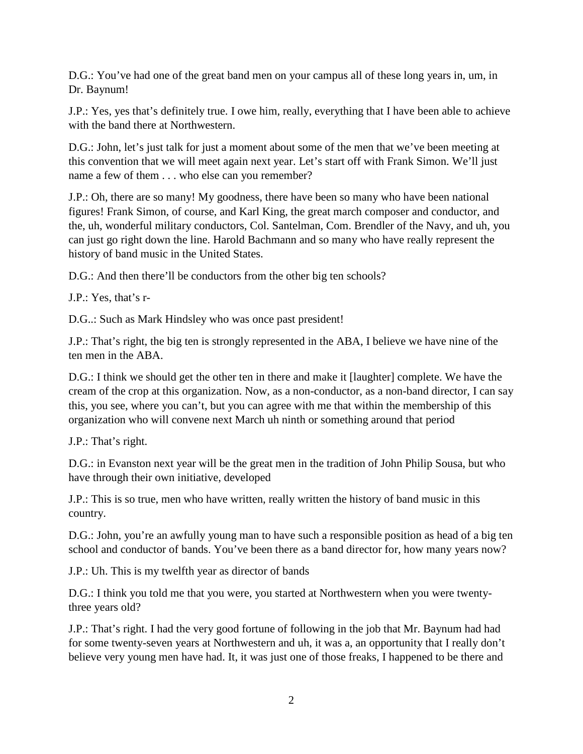D.G.: You've had one of the great band men on your campus all of these long years in, um, in Dr. Baynum!

J.P.: Yes, yes that's definitely true. I owe him, really, everything that I have been able to achieve with the band there at Northwestern.

D.G.: John, let's just talk for just a moment about some of the men that we've been meeting at this convention that we will meet again next year. Let's start off with Frank Simon. We'll just name a few of them . . . who else can you remember?

J.P.: Oh, there are so many! My goodness, there have been so many who have been national figures! Frank Simon, of course, and Karl King, the great march composer and conductor, and the, uh, wonderful military conductors, Col. Santelman, Com. Brendler of the Navy, and uh, you can just go right down the line. Harold Bachmann and so many who have really represent the history of band music in the United States.

D.G.: And then there'll be conductors from the other big ten schools?

J.P.: Yes, that's r-

D.G..: Such as Mark Hindsley who was once past president!

J.P.: That's right, the big ten is strongly represented in the ABA, I believe we have nine of the ten men in the ABA.

D.G.: I think we should get the other ten in there and make it [laughter] complete. We have the cream of the crop at this organization. Now, as a non-conductor, as a non-band director, I can say this, you see, where you can't, but you can agree with me that within the membership of this organization who will convene next March uh ninth or something around that period

J.P.: That's right.

D.G.: in Evanston next year will be the great men in the tradition of John Philip Sousa, but who have through their own initiative, developed

J.P.: This is so true, men who have written, really written the history of band music in this country.

D.G.: John, you're an awfully young man to have such a responsible position as head of a big ten school and conductor of bands. You've been there as a band director for, how many years now?

J.P.: Uh. This is my twelfth year as director of bands

D.G.: I think you told me that you were, you started at Northwestern when you were twentythree years old?

J.P.: That's right. I had the very good fortune of following in the job that Mr. Baynum had had for some twenty-seven years at Northwestern and uh, it was a, an opportunity that I really don't believe very young men have had. It, it was just one of those freaks, I happened to be there and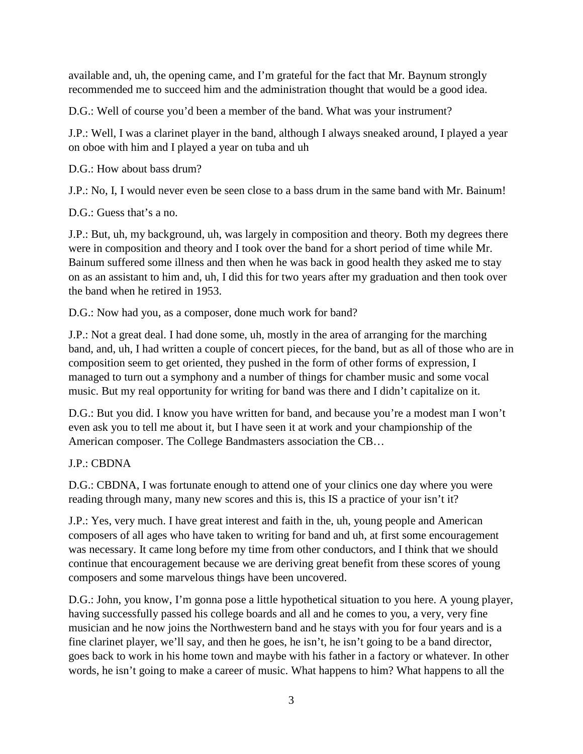available and, uh, the opening came, and I'm grateful for the fact that Mr. Baynum strongly recommended me to succeed him and the administration thought that would be a good idea.

D.G.: Well of course you'd been a member of the band. What was your instrument?

J.P.: Well, I was a clarinet player in the band, although I always sneaked around, I played a year on oboe with him and I played a year on tuba and uh

D.G.: How about bass drum?

J.P.: No, I, I would never even be seen close to a bass drum in the same band with Mr. Bainum!

D.G.: Guess that's a no.

J.P.: But, uh, my background, uh, was largely in composition and theory. Both my degrees there were in composition and theory and I took over the band for a short period of time while Mr. Bainum suffered some illness and then when he was back in good health they asked me to stay on as an assistant to him and, uh, I did this for two years after my graduation and then took over the band when he retired in 1953.

D.G.: Now had you, as a composer, done much work for band?

J.P.: Not a great deal. I had done some, uh, mostly in the area of arranging for the marching band, and, uh, I had written a couple of concert pieces, for the band, but as all of those who are in composition seem to get oriented, they pushed in the form of other forms of expression, I managed to turn out a symphony and a number of things for chamber music and some vocal music. But my real opportunity for writing for band was there and I didn't capitalize on it.

D.G.: But you did. I know you have written for band, and because you're a modest man I won't even ask you to tell me about it, but I have seen it at work and your championship of the American composer. The College Bandmasters association the CB…

J.P.: CBDNA

D.G.: CBDNA, I was fortunate enough to attend one of your clinics one day where you were reading through many, many new scores and this is, this IS a practice of your isn't it?

J.P.: Yes, very much. I have great interest and faith in the, uh, young people and American composers of all ages who have taken to writing for band and uh, at first some encouragement was necessary. It came long before my time from other conductors, and I think that we should continue that encouragement because we are deriving great benefit from these scores of young composers and some marvelous things have been uncovered.

D.G.: John, you know, I'm gonna pose a little hypothetical situation to you here. A young player, having successfully passed his college boards and all and he comes to you, a very, very fine musician and he now joins the Northwestern band and he stays with you for four years and is a fine clarinet player, we'll say, and then he goes, he isn't, he isn't going to be a band director, goes back to work in his home town and maybe with his father in a factory or whatever. In other words, he isn't going to make a career of music. What happens to him? What happens to all the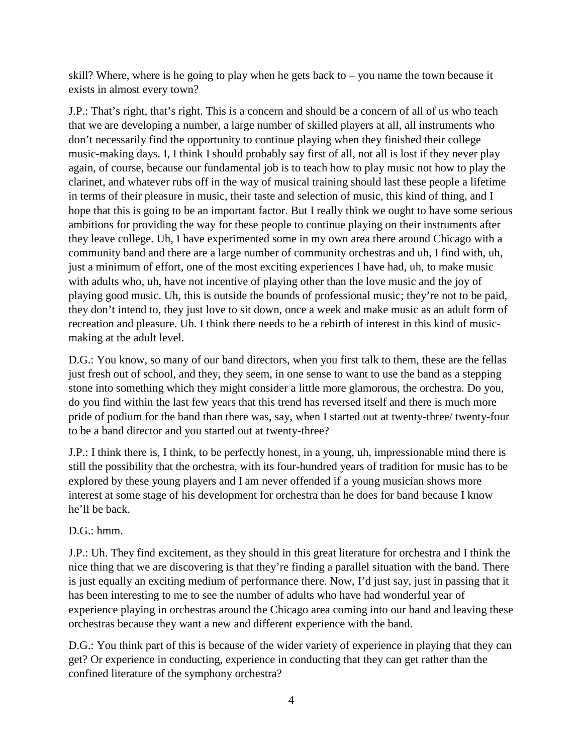skill? Where, where is he going to play when he gets back to  $-$  you name the town because it exists in almost every town?

J.P.: That's right, that's right. This is a concern and should be a concern of all of us who teach that we are developing a number, a large number of skilled players at all, all instruments who don't necessarily find the opportunity to continue playing when they finished their college music-making days. I, I think I should probably say first of all, not all is lost if they never play again, of course, because our fundamental job is to teach how to play music not how to play the clarinet, and whatever rubs off in the way of musical training should last these people a lifetime in terms of their pleasure in music, their taste and selection of music, this kind of thing, and I hope that this is going to be an important factor. But I really think we ought to have some serious ambitions for providing the way for these people to continue playing on their instruments after they leave college. Uh, I have experimented some in my own area there around Chicago with a community band and there are a large number of community orchestras and uh, I find with, uh, just a minimum of effort, one of the most exciting experiences I have had, uh, to make music with adults who, uh, have not incentive of playing other than the love music and the joy of playing good music. Uh, this is outside the bounds of professional music; they're not to be paid, they don't intend to, they just love to sit down, once a week and make music as an adult form of recreation and pleasure. Uh. I think there needs to be a rebirth of interest in this kind of musicmaking at the adult level.

D.G.: You know, so many of our band directors, when you first talk to them, these are the fellas just fresh out of school, and they, they seem, in one sense to want to use the band as a stepping stone into something which they might consider a little more glamorous, the orchestra. Do you, do you find within the last few years that this trend has reversed itself and there is much more pride of podium for the band than there was, say, when I started out at twenty-three/ twenty-four to be a band director and you started out at twenty-three?

J.P.: I think there is, I think, to be perfectly honest, in a young, uh, impressionable mind there is still the possibility that the orchestra, with its four-hundred years of tradition for music has to be explored by these young players and I am never offended if a young musician shows more interest at some stage of his development for orchestra than he does for band because I know he'll be back.

## $D.G.:$  hmm.

J.P.: Uh. They find excitement, as they should in this great literature for orchestra and I think the nice thing that we are discovering is that they're finding a parallel situation with the band. There is just equally an exciting medium of performance there. Now, I'd just say, just in passing that it has been interesting to me to see the number of adults who have had wonderful year of experience playing in orchestras around the Chicago area coming into our band and leaving these orchestras because they want a new and different experience with the band.

D.G.: You think part of this is because of the wider variety of experience in playing that they can get? Or experience in conducting, experience in conducting that they can get rather than the confined literature of the symphony orchestra?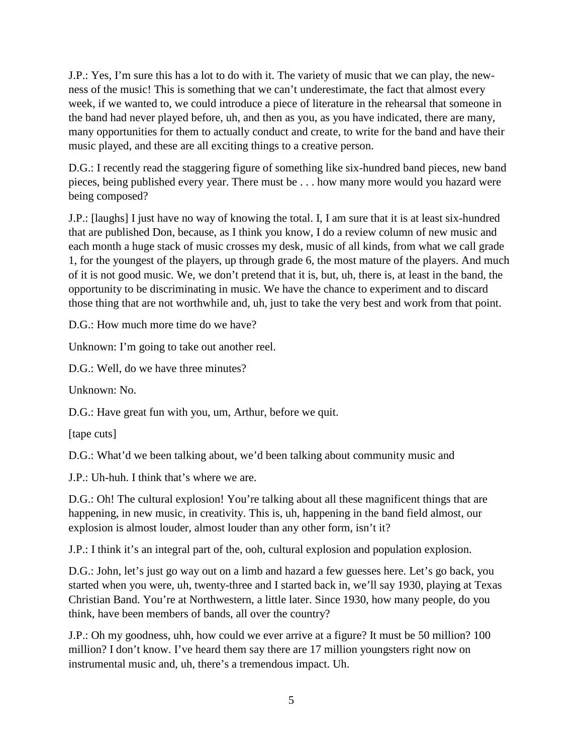J.P.: Yes, I'm sure this has a lot to do with it. The variety of music that we can play, the newness of the music! This is something that we can't underestimate, the fact that almost every week, if we wanted to, we could introduce a piece of literature in the rehearsal that someone in the band had never played before, uh, and then as you, as you have indicated, there are many, many opportunities for them to actually conduct and create, to write for the band and have their music played, and these are all exciting things to a creative person.

D.G.: I recently read the staggering figure of something like six-hundred band pieces, new band pieces, being published every year. There must be . . . how many more would you hazard were being composed?

J.P.: [laughs] I just have no way of knowing the total. I, I am sure that it is at least six-hundred that are published Don, because, as I think you know, I do a review column of new music and each month a huge stack of music crosses my desk, music of all kinds, from what we call grade 1, for the youngest of the players, up through grade 6, the most mature of the players. And much of it is not good music. We, we don't pretend that it is, but, uh, there is, at least in the band, the opportunity to be discriminating in music. We have the chance to experiment and to discard those thing that are not worthwhile and, uh, just to take the very best and work from that point.

D.G.: How much more time do we have?

Unknown: I'm going to take out another reel.

D.G.: Well, do we have three minutes?

Unknown: No.

D.G.: Have great fun with you, um, Arthur, before we quit.

[tape cuts]

D.G.: What'd we been talking about, we'd been talking about community music and

J.P.: Uh-huh. I think that's where we are.

D.G.: Oh! The cultural explosion! You're talking about all these magnificent things that are happening, in new music, in creativity. This is, uh, happening in the band field almost, our explosion is almost louder, almost louder than any other form, isn't it?

J.P.: I think it's an integral part of the, ooh, cultural explosion and population explosion.

D.G.: John, let's just go way out on a limb and hazard a few guesses here. Let's go back, you started when you were, uh, twenty-three and I started back in, we'll say 1930, playing at Texas Christian Band. You're at Northwestern, a little later. Since 1930, how many people, do you think, have been members of bands, all over the country?

J.P.: Oh my goodness, uhh, how could we ever arrive at a figure? It must be 50 million? 100 million? I don't know. I've heard them say there are 17 million youngsters right now on instrumental music and, uh, there's a tremendous impact. Uh.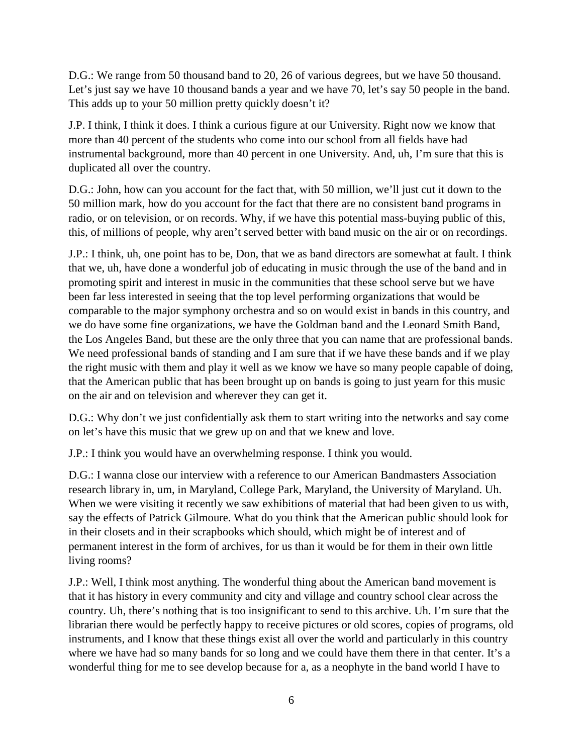D.G.: We range from 50 thousand band to 20, 26 of various degrees, but we have 50 thousand. Let's just say we have 10 thousand bands a year and we have 70, let's say 50 people in the band. This adds up to your 50 million pretty quickly doesn't it?

J.P. I think, I think it does. I think a curious figure at our University. Right now we know that more than 40 percent of the students who come into our school from all fields have had instrumental background, more than 40 percent in one University. And, uh, I'm sure that this is duplicated all over the country.

D.G.: John, how can you account for the fact that, with 50 million, we'll just cut it down to the 50 million mark, how do you account for the fact that there are no consistent band programs in radio, or on television, or on records. Why, if we have this potential mass-buying public of this, this, of millions of people, why aren't served better with band music on the air or on recordings.

J.P.: I think, uh, one point has to be, Don, that we as band directors are somewhat at fault. I think that we, uh, have done a wonderful job of educating in music through the use of the band and in promoting spirit and interest in music in the communities that these school serve but we have been far less interested in seeing that the top level performing organizations that would be comparable to the major symphony orchestra and so on would exist in bands in this country, and we do have some fine organizations, we have the Goldman band and the Leonard Smith Band, the Los Angeles Band, but these are the only three that you can name that are professional bands. We need professional bands of standing and I am sure that if we have these bands and if we play the right music with them and play it well as we know we have so many people capable of doing, that the American public that has been brought up on bands is going to just yearn for this music on the air and on television and wherever they can get it.

D.G.: Why don't we just confidentially ask them to start writing into the networks and say come on let's have this music that we grew up on and that we knew and love.

J.P.: I think you would have an overwhelming response. I think you would.

D.G.: I wanna close our interview with a reference to our American Bandmasters Association research library in, um, in Maryland, College Park, Maryland, the University of Maryland. Uh. When we were visiting it recently we saw exhibitions of material that had been given to us with, say the effects of Patrick Gilmoure. What do you think that the American public should look for in their closets and in their scrapbooks which should, which might be of interest and of permanent interest in the form of archives, for us than it would be for them in their own little living rooms?

J.P.: Well, I think most anything. The wonderful thing about the American band movement is that it has history in every community and city and village and country school clear across the country. Uh, there's nothing that is too insignificant to send to this archive. Uh. I'm sure that the librarian there would be perfectly happy to receive pictures or old scores, copies of programs, old instruments, and I know that these things exist all over the world and particularly in this country where we have had so many bands for so long and we could have them there in that center. It's a wonderful thing for me to see develop because for a, as a neophyte in the band world I have to